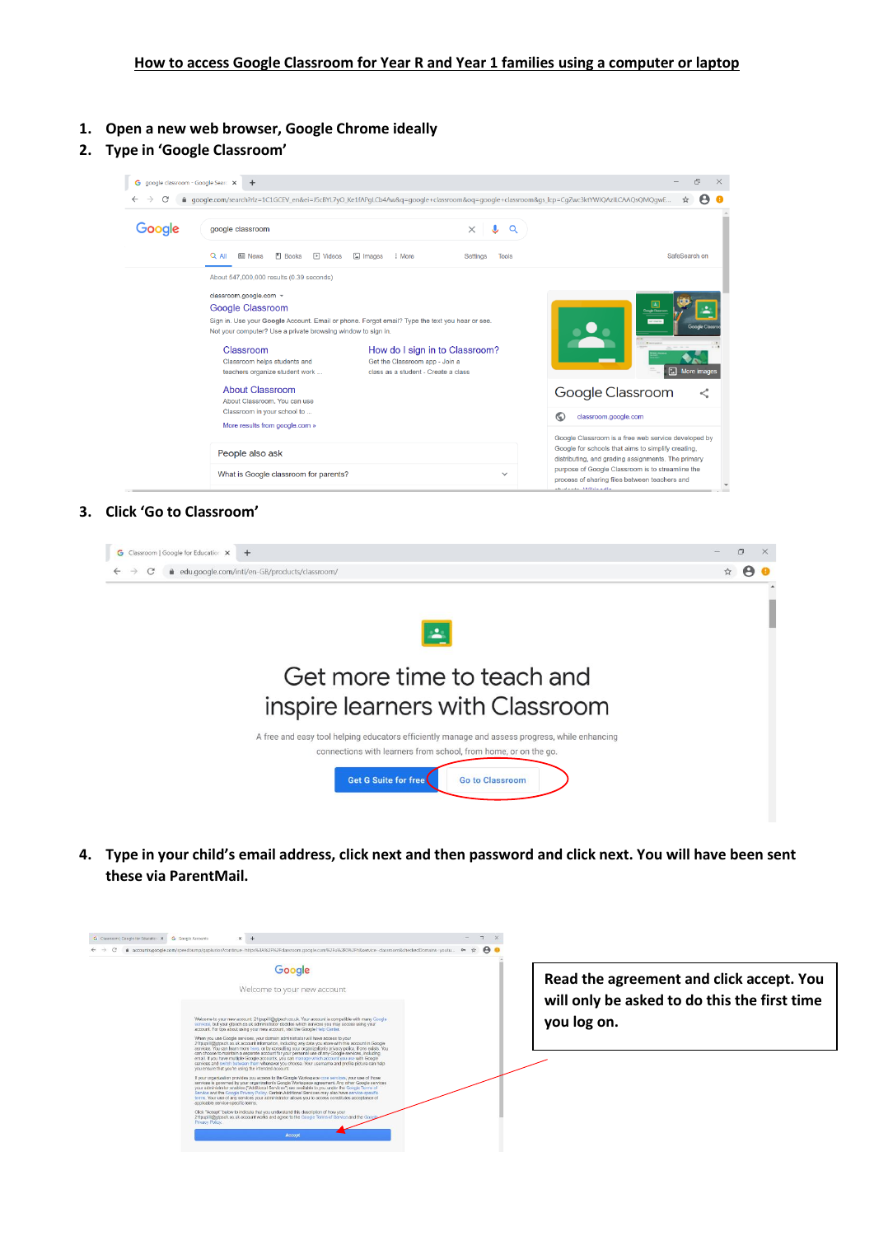- **1. Open a new web browser, Google Chrome ideally**
- **2. Type in 'Google Classroom'**



## **3. Click 'Go to Classroom'**

|                                                                                                                                                                   | $\Box$ |
|-------------------------------------------------------------------------------------------------------------------------------------------------------------------|--------|
| edu.google.com/intl/en-GB/products/classroom/<br>C                                                                                                                |        |
|                                                                                                                                                                   |        |
|                                                                                                                                                                   |        |
| 盀                                                                                                                                                                 |        |
|                                                                                                                                                                   |        |
| Get more time to teach and                                                                                                                                        |        |
|                                                                                                                                                                   |        |
| inspire learners with Classroom                                                                                                                                   |        |
|                                                                                                                                                                   |        |
| A free and easy tool helping educators efficiently manage and assess progress, while enhancing<br>connections with learners from school, from home, or on the go. |        |
|                                                                                                                                                                   |        |
| Get G Suite for free<br><b>Go to Classroom</b>                                                                                                                    |        |
|                                                                                                                                                                   |        |

**4. Type in your child's email address, click next and then password and click next. You will have been sent these via ParentMail.** 

| Google<br>Welcome to your new account                                                                                                                                                                                                                                                                                                                                                                                                                                                                                                                                                                                                                                                                                                                                                                                                                                                                                                                                                                                                                                                                                                                                                                                                                                   | Read the agreement and click accept. You<br>will only be asked to do this the first time |
|-------------------------------------------------------------------------------------------------------------------------------------------------------------------------------------------------------------------------------------------------------------------------------------------------------------------------------------------------------------------------------------------------------------------------------------------------------------------------------------------------------------------------------------------------------------------------------------------------------------------------------------------------------------------------------------------------------------------------------------------------------------------------------------------------------------------------------------------------------------------------------------------------------------------------------------------------------------------------------------------------------------------------------------------------------------------------------------------------------------------------------------------------------------------------------------------------------------------------------------------------------------------------|------------------------------------------------------------------------------------------|
| Welcome to your new appoint: 21toupill@otpach.po.uk. Your appoint is compatible with many Goode<br>services, but your gtpsch.co.uk administrator decides which services you may access using your<br>account. For tips about using your new account, visit the Google Help Center,<br>When you use Google services, your domain administrator will have access to your<br>21tpupill@ctpsch.co.uk account information, including any data you store with this account in Google<br>services. You can learn more here, or by consulting your organization's privacy policy, if one exists. You<br>can choose to maintain a separate account for your personal use of any Google services, including<br>email. If you have multiple Google accounts, you can manage which account you use with Google<br>services and switch between them whenever you choose. Your usemame and profile picture can help<br>you ensure that you're using the intended account.<br>If your organization provides you access to the Google Workspace core services, your use of those<br>services is governed by your organization's Goode Workspace agreement. Any other Goode services<br>your administrator enables ("Additional Services") are available to you under the Goode Terms of | you log on.                                                                              |
| Service and the Google Privacy Policy. Certain Additional Services may also have service-specific<br>terms. Your use of any services your administrator allows you to access constitutes acceptance of<br>applicable service-specific terms.<br>Click "Accept" below to indicate that you understand this description of how your<br>21tpublil@croach.co.uk account works and agree to the Google Terms of Service and the Google<br>Privativ Policy<br>Accept                                                                                                                                                                                                                                                                                                                                                                                                                                                                                                                                                                                                                                                                                                                                                                                                          |                                                                                          |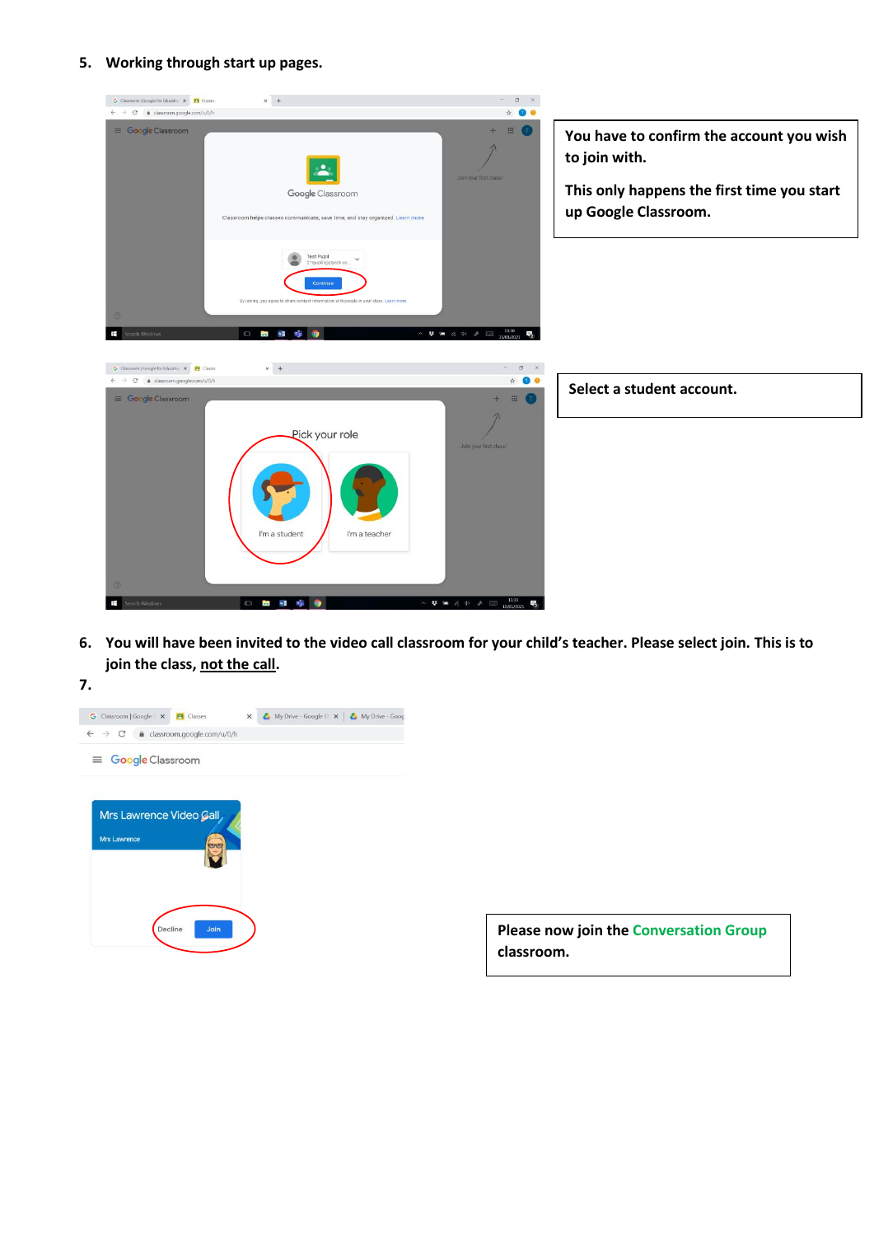**5. Working through start up pages.**



**6. You will have been invited to the video call classroom for your child's teacher. Please select join. This is to join the class, not the call.**



**Please now join the Conversation Group classroom.**